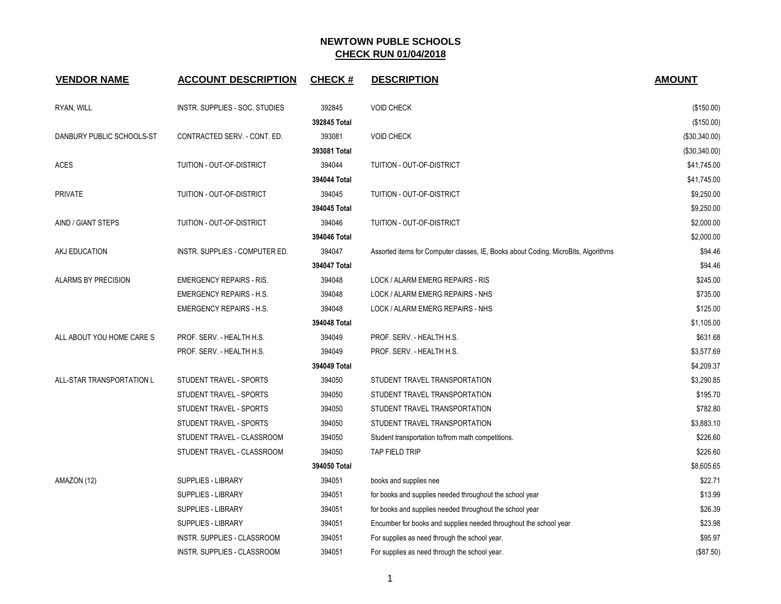| <b>VENDOR NAME</b>        | <b>ACCOUNT DESCRIPTION</b>      | <b>CHECK#</b> | <b>DESCRIPTION</b>                                                                 | <b>AMOUNT</b> |
|---------------------------|---------------------------------|---------------|------------------------------------------------------------------------------------|---------------|
| RYAN, WILL                | INSTR. SUPPLIES - SOC. STUDIES  | 392845        | <b>VOID CHECK</b>                                                                  | (\$150.00)    |
|                           |                                 | 392845 Total  |                                                                                    | (\$150.00)    |
| DANBURY PUBLIC SCHOOLS-ST | CONTRACTED SERV. - CONT. ED.    | 393081        | <b>VOID CHECK</b>                                                                  | (\$30,340.00) |
|                           |                                 | 393081 Total  |                                                                                    | (\$30,340.00) |
| <b>ACES</b>               | TUITION - OUT-OF-DISTRICT       | 394044        | TUITION - OUT-OF-DISTRICT                                                          | \$41,745.00   |
|                           |                                 | 394044 Total  |                                                                                    | \$41,745.00   |
| <b>PRIVATE</b>            | TUITION - OUT-OF-DISTRICT       | 394045        | TUITION - OUT-OF-DISTRICT                                                          | \$9,250.00    |
|                           |                                 | 394045 Total  |                                                                                    | \$9,250.00    |
| AIND / GIANT STEPS        | TUITION - OUT-OF-DISTRICT       | 394046        | TUITION - OUT-OF-DISTRICT                                                          | \$2,000.00    |
|                           |                                 | 394046 Total  |                                                                                    | \$2,000.00    |
| AKJ EDUCATION             | INSTR. SUPPLIES - COMPUTER ED.  | 394047        | Assorted items for Computer classes, IE, Books about Coding, MicroBits, Algorithms | \$94.46       |
|                           |                                 | 394047 Total  |                                                                                    | \$94.46       |
| ALARMS BY PRECISION       | <b>EMERGENCY REPAIRS - RIS.</b> | 394048        | LOCK / ALARM EMERG REPAIRS - RIS                                                   | \$245.00      |
|                           | <b>EMERGENCY REPAIRS - H.S.</b> | 394048        | LOCK / ALARM EMERG REPAIRS - NHS                                                   | \$735.00      |
|                           | <b>EMERGENCY REPAIRS - H.S.</b> | 394048        | LOCK / ALARM EMERG REPAIRS - NHS                                                   | \$125.00      |
|                           |                                 | 394048 Total  |                                                                                    | \$1,105.00    |
| ALL ABOUT YOU HOME CARE S | PROF. SERV. - HEALTH H.S.       | 394049        | PROF. SERV. - HEALTH H.S.                                                          | \$631.68      |
|                           | PROF. SERV. - HEALTH H.S.       | 394049        | PROF. SERV. - HEALTH H.S.                                                          | \$3,577.69    |
|                           |                                 | 394049 Total  |                                                                                    | \$4,209.37    |
| ALL-STAR TRANSPORTATION L | STUDENT TRAVEL - SPORTS         | 394050        | STUDENT TRAVEL TRANSPORTATION                                                      | \$3,290.85    |
|                           | STUDENT TRAVEL - SPORTS         | 394050        | STUDENT TRAVEL TRANSPORTATION                                                      | \$195.70      |
|                           | STUDENT TRAVEL - SPORTS         | 394050        | STUDENT TRAVEL TRANSPORTATION                                                      | \$782.80      |
|                           | STUDENT TRAVEL - SPORTS         | 394050        | STUDENT TRAVEL TRANSPORTATION                                                      | \$3,883.10    |
|                           | STUDENT TRAVEL - CLASSROOM      | 394050        | Student transportation to/from math competitions.                                  | \$226.60      |
|                           | STUDENT TRAVEL - CLASSROOM      | 394050        | TAP FIELD TRIP                                                                     | \$226.60      |
|                           |                                 | 394050 Total  |                                                                                    | \$8,605.65    |
| AMAZON (12)               | SUPPLIES - LIBRARY              | 394051        | books and supplies nee                                                             | \$22.71       |
|                           | <b>SUPPLIES - LIBRARY</b>       | 394051        | for books and supplies needed throughout the school year                           | \$13.99       |
|                           | SUPPLIES - LIBRARY              | 394051        | for books and supplies needed throughout the school year                           | \$26.39       |
|                           | <b>SUPPLIES - LIBRARY</b>       | 394051        | Encumber for books and supplies needed throughout the school year                  | \$23.98       |
|                           | INSTR. SUPPLIES - CLASSROOM     | 394051        | For supplies as need through the school year.                                      | \$95.97       |
|                           | INSTR. SUPPLIES - CLASSROOM     | 394051        | For supplies as need through the school year.                                      | (\$87.50)     |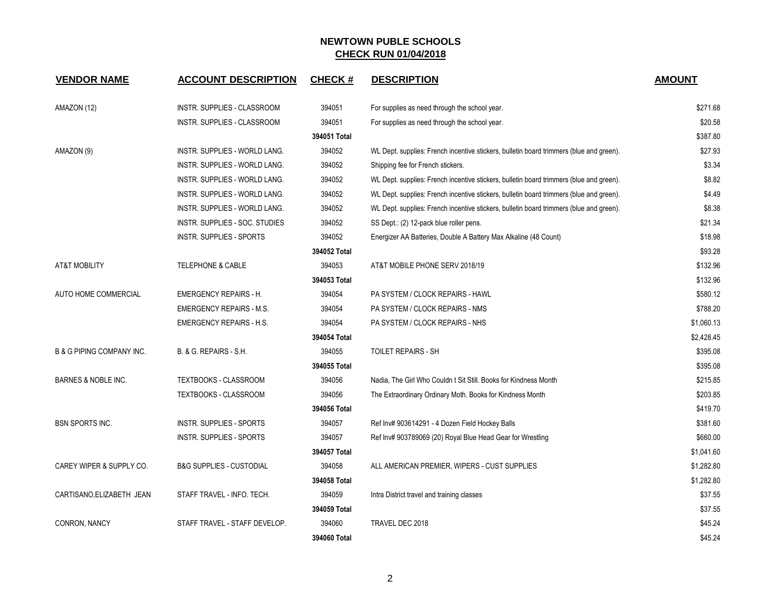| <b>VENDOR NAME</b>                   | <b>ACCOUNT DESCRIPTION</b>           | <b>CHECK#</b> | <b>DESCRIPTION</b>                                                                      | <b>AMOUNT</b> |
|--------------------------------------|--------------------------------------|---------------|-----------------------------------------------------------------------------------------|---------------|
| AMAZON (12)                          | INSTR. SUPPLIES - CLASSROOM          | 394051        | For supplies as need through the school year.                                           | \$271.68      |
|                                      | INSTR. SUPPLIES - CLASSROOM          | 394051        | For supplies as need through the school year.                                           | \$20.58       |
|                                      |                                      | 394051 Total  |                                                                                         | \$387.80      |
| AMAZON (9)                           | <b>INSTR. SUPPLIES - WORLD LANG.</b> | 394052        | WL Dept. supplies: French incentive stickers, bulletin board trimmers (blue and green). | \$27.93       |
|                                      | <b>INSTR. SUPPLIES - WORLD LANG.</b> | 394052        | Shipping fee for French stickers.                                                       | \$3.34        |
|                                      | INSTR. SUPPLIES - WORLD LANG.        | 394052        | WL Dept. supplies: French incentive stickers, bulletin board trimmers (blue and green). | \$8.82        |
|                                      | INSTR. SUPPLIES - WORLD LANG.        | 394052        | WL Dept. supplies: French incentive stickers, bulletin board trimmers (blue and green). | \$4.49        |
|                                      | INSTR. SUPPLIES - WORLD LANG.        | 394052        | WL Dept. supplies: French incentive stickers, bulletin board trimmers (blue and green). | \$8.38        |
|                                      | INSTR. SUPPLIES - SOC. STUDIES       | 394052        | SS Dept.: (2) 12-pack blue roller pens.                                                 | \$21.34       |
|                                      | <b>INSTR. SUPPLIES - SPORTS</b>      | 394052        | Energizer AA Batteries, Double A Battery Max Alkaline (48 Count)                        | \$18.98       |
|                                      |                                      | 394052 Total  |                                                                                         | \$93.28       |
| <b>AT&amp;T MOBILITY</b>             | <b>TELEPHONE &amp; CABLE</b>         | 394053        | AT&T MOBILE PHONE SERV 2018/19                                                          | \$132.96      |
|                                      |                                      | 394053 Total  |                                                                                         | \$132.96      |
| AUTO HOME COMMERCIAL                 | <b>EMERGENCY REPAIRS - H.</b>        | 394054        | PA SYSTEM / CLOCK REPAIRS - HAWL                                                        | \$580.12      |
|                                      | <b>EMERGENCY REPAIRS - M.S.</b>      | 394054        | PA SYSTEM / CLOCK REPAIRS - NMS                                                         | \$788.20      |
|                                      | <b>EMERGENCY REPAIRS - H.S.</b>      | 394054        | PA SYSTEM / CLOCK REPAIRS - NHS                                                         | \$1,060.13    |
|                                      |                                      | 394054 Total  |                                                                                         | \$2,428.45    |
| <b>B &amp; G PIPING COMPANY INC.</b> | B. & G. REPAIRS - S.H.               | 394055        | <b>TOILET REPAIRS - SH</b>                                                              | \$395.08      |
|                                      |                                      | 394055 Total  |                                                                                         | \$395.08      |
| <b>BARNES &amp; NOBLE INC.</b>       | TEXTBOOKS - CLASSROOM                | 394056        | Nadia, The Girl Who Couldn t Sit Still. Books for Kindness Month                        | \$215.85      |
|                                      | <b>TEXTBOOKS - CLASSROOM</b>         | 394056        | The Extraordinary Ordinary Moth. Books for Kindness Month                               | \$203.85      |
|                                      |                                      | 394056 Total  |                                                                                         | \$419.70      |
| <b>BSN SPORTS INC.</b>               | INSTR. SUPPLIES - SPORTS             | 394057        | Ref Inv# 903614291 - 4 Dozen Field Hockey Balls                                         | \$381.60      |
|                                      | <b>INSTR. SUPPLIES - SPORTS</b>      | 394057        | Ref Inv# 903789069 (20) Royal Blue Head Gear for Wrestling                              | \$660.00      |
|                                      |                                      | 394057 Total  |                                                                                         | \$1,041.60    |
| CAREY WIPER & SUPPLY CO.             | <b>B&amp;G SUPPLIES - CUSTODIAL</b>  | 394058        | ALL AMERICAN PREMIER, WIPERS - CUST SUPPLIES                                            | \$1,282.80    |
|                                      |                                      | 394058 Total  |                                                                                         | \$1,282.80    |
| CARTISANO, ELIZABETH JEAN            | STAFF TRAVEL - INFO. TECH.           | 394059        | Intra District travel and training classes                                              | \$37.55       |
|                                      |                                      | 394059 Total  |                                                                                         | \$37.55       |
| CONRON, NANCY                        | STAFF TRAVEL - STAFF DEVELOP.        | 394060        | TRAVEL DEC 2018                                                                         | \$45.24       |
|                                      |                                      | 394060 Total  |                                                                                         | \$45.24       |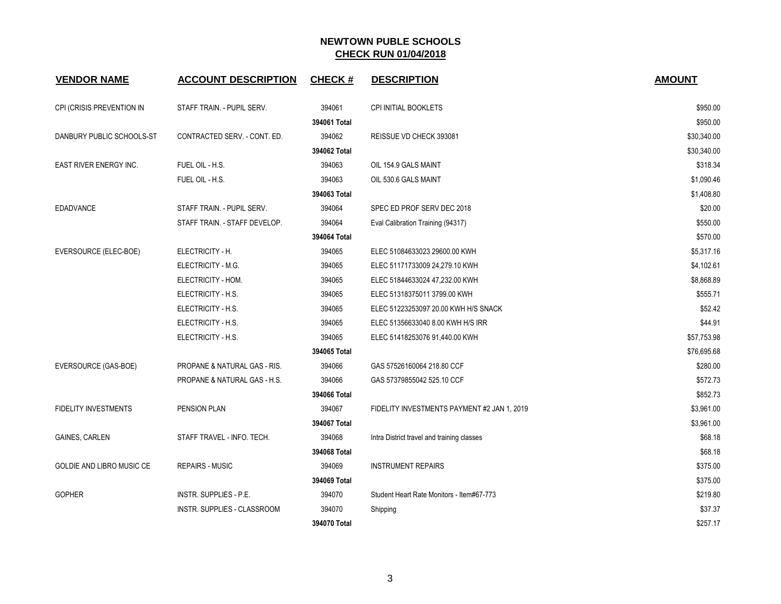| <b>VENDOR NAME</b>          | <b>ACCOUNT DESCRIPTION</b>         | <b>CHECK#</b> | <b>DESCRIPTION</b>                          | <b>AMOUNT</b> |
|-----------------------------|------------------------------------|---------------|---------------------------------------------|---------------|
| CPI (CRISIS PREVENTION IN   | STAFF TRAIN. - PUPIL SERV.         | 394061        | CPI INITIAL BOOKLETS                        | \$950.00      |
|                             |                                    | 394061 Total  |                                             | \$950.00      |
| DANBURY PUBLIC SCHOOLS-ST   | CONTRACTED SERV. - CONT. ED.       | 394062        | REISSUE VD CHECK 393081                     | \$30,340.00   |
|                             |                                    | 394062 Total  |                                             | \$30,340.00   |
| EAST RIVER ENERGY INC.      | FUEL OIL - H.S.                    | 394063        | OIL 154.9 GALS MAINT                        | \$318.34      |
|                             | FUEL OIL - H.S.                    | 394063        | OIL 530.6 GALS MAINT                        | \$1,090.46    |
|                             |                                    | 394063 Total  |                                             | \$1,408.80    |
| <b>EDADVANCE</b>            | STAFF TRAIN. - PUPIL SERV.         | 394064        | SPEC ED PROF SERV DEC 2018                  | \$20.00       |
|                             | STAFF TRAIN. - STAFF DEVELOP.      | 394064        | Eval Calibration Training (94317)           | \$550.00      |
|                             |                                    | 394064 Total  |                                             | \$570.00      |
| EVERSOURCE (ELEC-BOE)       | ELECTRICITY - H.                   | 394065        | ELEC 51084633023 29600.00 KWH               | \$5,317.16    |
|                             | ELECTRICITY - M.G.                 | 394065        | ELEC 51171733009 24,279.10 KWH              | \$4,102.61    |
|                             | ELECTRICITY - HOM.                 | 394065        | ELEC 51844633024 47,232.00 KWH              | \$8,868.89    |
|                             | ELECTRICITY - H.S.                 | 394065        | ELEC 51318375011 3799.00 KWH                | \$555.71      |
|                             | ELECTRICITY - H.S.                 | 394065        | ELEC 51223253097 20.00 KWH H/S SNACK        | \$52.42       |
|                             | ELECTRICITY - H.S.                 | 394065        | ELEC 51356633040 8.00 KWH H/S IRR           | \$44.91       |
|                             | ELECTRICITY - H.S.                 | 394065        | ELEC 51418253076 91,440.00 KWH              | \$57,753.98   |
|                             |                                    | 394065 Total  |                                             | \$76,695.68   |
| EVERSOURCE (GAS-BOE)        | PROPANE & NATURAL GAS - RIS.       | 394066        | GAS 57526160064 218.80 CCF                  | \$280.00      |
|                             | PROPANE & NATURAL GAS - H.S.       | 394066        | GAS 57379855042 525.10 CCF                  | \$572.73      |
|                             |                                    | 394066 Total  |                                             | \$852.73      |
| <b>FIDELITY INVESTMENTS</b> | PENSION PLAN                       | 394067        | FIDELITY INVESTMENTS PAYMENT #2 JAN 1, 2019 | \$3,961.00    |
|                             |                                    | 394067 Total  |                                             | \$3,961.00    |
| <b>GAINES, CARLEN</b>       | STAFF TRAVEL - INFO. TECH.         | 394068        | Intra District travel and training classes  | \$68.18       |
|                             |                                    | 394068 Total  |                                             | \$68.18       |
| GOLDIE AND LIBRO MUSIC CE   | <b>REPAIRS - MUSIC</b>             | 394069        | <b>INSTRUMENT REPAIRS</b>                   | \$375.00      |
|                             |                                    | 394069 Total  |                                             | \$375.00      |
| <b>GOPHER</b>               | <b>INSTR. SUPPLIES - P.E.</b>      | 394070        | Student Heart Rate Monitors - Item#67-773   | \$219.80      |
|                             | <b>INSTR. SUPPLIES - CLASSROOM</b> | 394070        | Shipping                                    | \$37.37       |
|                             |                                    | 394070 Total  |                                             | \$257.17      |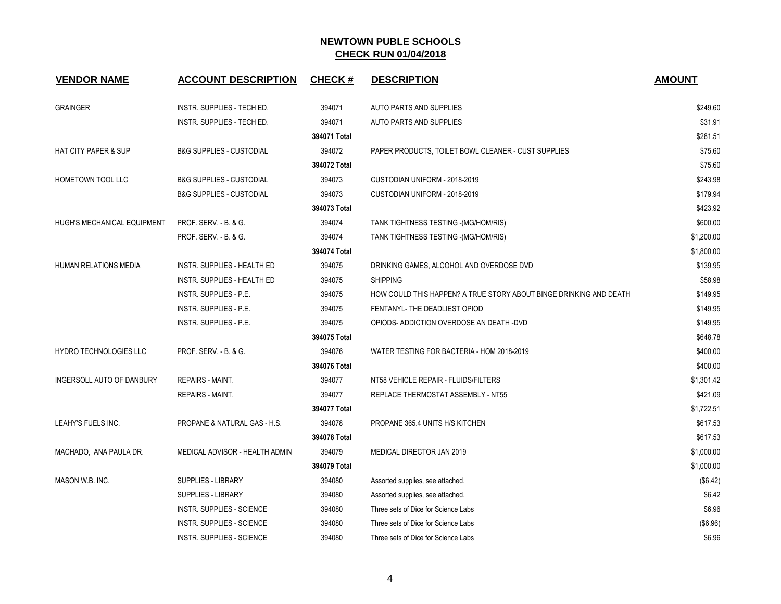| <b>VENDOR NAME</b>              | <b>ACCOUNT DESCRIPTION</b>          | <b>CHECK#</b> | <b>DESCRIPTION</b>                                                 | <b>AMOUNT</b> |
|---------------------------------|-------------------------------------|---------------|--------------------------------------------------------------------|---------------|
| <b>GRAINGER</b>                 | <b>INSTR. SUPPLIES - TECH ED.</b>   | 394071        | <b>AUTO PARTS AND SUPPLIES</b>                                     | \$249.60      |
|                                 | <b>INSTR. SUPPLIES - TECH ED.</b>   | 394071        | <b>AUTO PARTS AND SUPPLIES</b>                                     | \$31.91       |
|                                 |                                     | 394071 Total  |                                                                    | \$281.51      |
| <b>HAT CITY PAPER &amp; SUP</b> | <b>B&amp;G SUPPLIES - CUSTODIAL</b> | 394072        | PAPER PRODUCTS, TOILET BOWL CLEANER - CUST SUPPLIES                | \$75.60       |
|                                 |                                     | 394072 Total  |                                                                    | \$75.60       |
| HOMETOWN TOOL LLC               | <b>B&amp;G SUPPLIES - CUSTODIAL</b> | 394073        | CUSTODIAN UNIFORM - 2018-2019                                      | \$243.98      |
|                                 | <b>B&amp;G SUPPLIES - CUSTODIAL</b> | 394073        | CUSTODIAN UNIFORM - 2018-2019                                      | \$179.94      |
|                                 |                                     | 394073 Total  |                                                                    | \$423.92      |
| HUGH'S MECHANICAL EQUIPMENT     | PROF. SERV. - B. & G.               | 394074        | TANK TIGHTNESS TESTING - (MG/HOM/RIS)                              | \$600.00      |
|                                 | PROF. SERV. - B. & G.               | 394074        | TANK TIGHTNESS TESTING - (MG/HOM/RIS)                              | \$1,200.00    |
|                                 |                                     | 394074 Total  |                                                                    | \$1,800.00    |
| HUMAN RELATIONS MEDIA           | INSTR. SUPPLIES - HEALTH ED         | 394075        | DRINKING GAMES, ALCOHOL AND OVERDOSE DVD                           | \$139.95      |
|                                 | INSTR. SUPPLIES - HEALTH ED         | 394075        | <b>SHIPPING</b>                                                    | \$58.98       |
|                                 | INSTR. SUPPLIES - P.E.              | 394075        | HOW COULD THIS HAPPEN? A TRUE STORY ABOUT BINGE DRINKING AND DEATH | \$149.95      |
|                                 | <b>INSTR. SUPPLIES - P.E.</b>       | 394075        | FENTANYL- THE DEADLIEST OPIOD                                      | \$149.95      |
|                                 | INSTR. SUPPLIES - P.E.              | 394075        | OPIODS-ADDICTION OVERDOSE AN DEATH -DVD                            | \$149.95      |
|                                 |                                     | 394075 Total  |                                                                    | \$648.78      |
| HYDRO TECHNOLOGIES LLC          | PROF. SERV. - B. & G.               | 394076        | WATER TESTING FOR BACTERIA - HOM 2018-2019                         | \$400.00      |
|                                 |                                     | 394076 Total  |                                                                    | \$400.00      |
| INGERSOLL AUTO OF DANBURY       | <b>REPAIRS - MAINT.</b>             | 394077        | NT58 VEHICLE REPAIR - FLUIDS/FILTERS                               | \$1,301.42    |
|                                 | <b>REPAIRS - MAINT.</b>             | 394077        | REPLACE THERMOSTAT ASSEMBLY - NT55                                 | \$421.09      |
|                                 |                                     | 394077 Total  |                                                                    | \$1,722.51    |
| LEAHY'S FUELS INC.              | PROPANE & NATURAL GAS - H.S.        | 394078        | PROPANE 365.4 UNITS H/S KITCHEN                                    | \$617.53      |
|                                 |                                     | 394078 Total  |                                                                    | \$617.53      |
| MACHADO, ANA PAULA DR.          | MEDICAL ADVISOR - HEALTH ADMIN      | 394079        | <b>MEDICAL DIRECTOR JAN 2019</b>                                   | \$1,000.00    |
|                                 |                                     | 394079 Total  |                                                                    | \$1,000.00    |
| MASON W.B. INC.                 | <b>SUPPLIES - LIBRARY</b>           | 394080        | Assorted supplies, see attached.                                   | (\$6.42)      |
|                                 | <b>SUPPLIES - LIBRARY</b>           | 394080        | Assorted supplies, see attached.                                   | \$6.42        |
|                                 | <b>INSTR. SUPPLIES - SCIENCE</b>    | 394080        | Three sets of Dice for Science Labs                                | \$6.96        |
|                                 | <b>INSTR. SUPPLIES - SCIENCE</b>    | 394080        | Three sets of Dice for Science Labs                                | (\$6.96)      |
|                                 | INSTR. SUPPLIES - SCIENCE           | 394080        | Three sets of Dice for Science Labs                                | \$6.96        |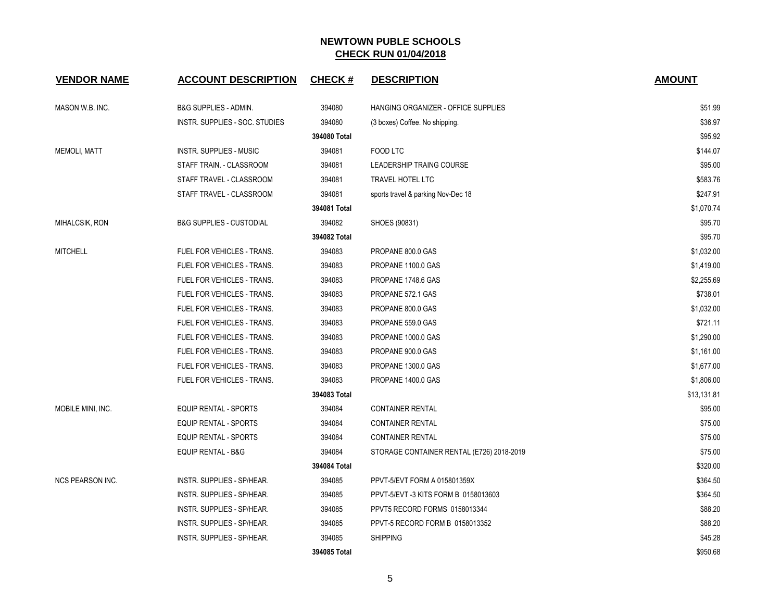| <b>VENDOR NAME</b>      | <b>ACCOUNT DESCRIPTION</b>          | <b>CHECK#</b> | <b>DESCRIPTION</b>                        | <b>AMOUNT</b> |
|-------------------------|-------------------------------------|---------------|-------------------------------------------|---------------|
| MASON W.B. INC.         | B&G SUPPLIES - ADMIN.               | 394080        | HANGING ORGANIZER - OFFICE SUPPLIES       | \$51.99       |
|                         | INSTR. SUPPLIES - SOC. STUDIES      | 394080        | (3 boxes) Coffee. No shipping.            | \$36.97       |
|                         |                                     | 394080 Total  |                                           | \$95.92       |
| <b>MEMOLI, MATT</b>     | INSTR. SUPPLIES - MUSIC             | 394081        | FOOD LTC                                  | \$144.07      |
|                         | STAFF TRAIN. - CLASSROOM            | 394081        | LEADERSHIP TRAING COURSE                  | \$95.00       |
|                         | STAFF TRAVEL - CLASSROOM            | 394081        | TRAVEL HOTEL LTC                          | \$583.76      |
|                         | STAFF TRAVEL - CLASSROOM            | 394081        | sports travel & parking Nov-Dec 18        | \$247.91      |
|                         |                                     | 394081 Total  |                                           | \$1,070.74    |
| MIHALCSIK, RON          | <b>B&amp;G SUPPLIES - CUSTODIAL</b> | 394082        | SHOES (90831)                             | \$95.70       |
|                         |                                     | 394082 Total  |                                           | \$95.70       |
| <b>MITCHELL</b>         | FUEL FOR VEHICLES - TRANS.          | 394083        | PROPANE 800.0 GAS                         | \$1,032.00    |
|                         | FUEL FOR VEHICLES - TRANS.          | 394083        | PROPANE 1100.0 GAS                        | \$1,419.00    |
|                         | FUEL FOR VEHICLES - TRANS.          | 394083        | PROPANE 1748.6 GAS                        | \$2,255.69    |
|                         | FUEL FOR VEHICLES - TRANS.          | 394083        | PROPANE 572.1 GAS                         | \$738.01      |
|                         | FUEL FOR VEHICLES - TRANS.          | 394083        | PROPANE 800.0 GAS                         | \$1,032.00    |
|                         | FUEL FOR VEHICLES - TRANS.          | 394083        | PROPANE 559.0 GAS                         | \$721.11      |
|                         | FUEL FOR VEHICLES - TRANS.          | 394083        | PROPANE 1000.0 GAS                        | \$1,290.00    |
|                         | FUEL FOR VEHICLES - TRANS.          | 394083        | PROPANE 900.0 GAS                         | \$1,161.00    |
|                         | FUEL FOR VEHICLES - TRANS.          | 394083        | PROPANE 1300.0 GAS                        | \$1,677.00    |
|                         | FUEL FOR VEHICLES - TRANS.          | 394083        | PROPANE 1400.0 GAS                        | \$1,806.00    |
|                         |                                     | 394083 Total  |                                           | \$13,131.81   |
| MOBILE MINI, INC.       | EQUIP RENTAL - SPORTS               | 394084        | <b>CONTAINER RENTAL</b>                   | \$95.00       |
|                         | <b>EQUIP RENTAL - SPORTS</b>        | 394084        | <b>CONTAINER RENTAL</b>                   | \$75.00       |
|                         | <b>EQUIP RENTAL - SPORTS</b>        | 394084        | <b>CONTAINER RENTAL</b>                   | \$75.00       |
|                         | <b>EQUIP RENTAL - B&amp;G</b>       | 394084        | STORAGE CONTAINER RENTAL (E726) 2018-2019 | \$75.00       |
|                         |                                     | 394084 Total  |                                           | \$320.00      |
| <b>NCS PEARSON INC.</b> | INSTR. SUPPLIES - SP/HEAR.          | 394085        | PPVT-5/EVT FORM A 015801359X              | \$364.50      |
|                         | INSTR. SUPPLIES - SP/HEAR.          | 394085        | PPVT-5/EVT -3 KITS FORM B 0158013603      | \$364.50      |
|                         | INSTR. SUPPLIES - SP/HEAR.          | 394085        | PPVT5 RECORD FORMS 0158013344             | \$88.20       |
|                         | INSTR. SUPPLIES - SP/HEAR.          | 394085        | PPVT-5 RECORD FORM B 0158013352           | \$88.20       |
|                         | INSTR. SUPPLIES - SP/HEAR.          | 394085        | <b>SHIPPING</b>                           | \$45.28       |
|                         |                                     | 394085 Total  |                                           | \$950.68      |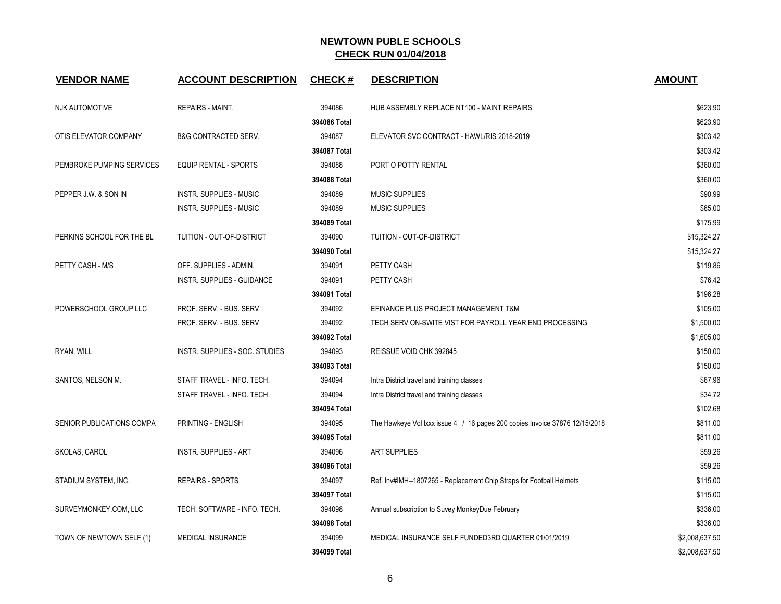| <b>VENDOR NAME</b>        | <b>ACCOUNT DESCRIPTION</b>      | <b>CHECK#</b> | <b>DESCRIPTION</b>                                                          | <b>AMOUNT</b>  |
|---------------------------|---------------------------------|---------------|-----------------------------------------------------------------------------|----------------|
| <b>NJK AUTOMOTIVE</b>     | <b>REPAIRS - MAINT.</b>         | 394086        | HUB ASSEMBLY REPLACE NT100 - MAINT REPAIRS                                  | \$623.90       |
|                           |                                 | 394086 Total  |                                                                             | \$623.90       |
| OTIS ELEVATOR COMPANY     | <b>B&amp;G CONTRACTED SERV.</b> | 394087        | ELEVATOR SVC CONTRACT - HAWL/RIS 2018-2019                                  | \$303.42       |
|                           |                                 | 394087 Total  |                                                                             | \$303.42       |
| PEMBROKE PUMPING SERVICES | <b>EQUIP RENTAL - SPORTS</b>    | 394088        | PORT O POTTY RENTAL                                                         | \$360.00       |
|                           |                                 | 394088 Total  |                                                                             | \$360.00       |
| PEPPER J.W. & SON IN      | <b>INSTR. SUPPLIES - MUSIC</b>  | 394089        | <b>MUSIC SUPPLIES</b>                                                       | \$90.99        |
|                           | <b>INSTR. SUPPLIES - MUSIC</b>  | 394089        | <b>MUSIC SUPPLIES</b>                                                       | \$85.00        |
|                           |                                 | 394089 Total  |                                                                             | \$175.99       |
| PERKINS SCHOOL FOR THE BL | TUITION - OUT-OF-DISTRICT       | 394090        | TUITION - OUT-OF-DISTRICT                                                   | \$15,324.27    |
|                           |                                 | 394090 Total  |                                                                             | \$15,324.27    |
| PETTY CASH - M/S          | OFF. SUPPLIES - ADMIN.          | 394091        | PETTY CASH                                                                  | \$119.86       |
|                           | INSTR. SUPPLIES - GUIDANCE      | 394091        | PETTY CASH                                                                  | \$76.42        |
|                           |                                 | 394091 Total  |                                                                             | \$196.28       |
| POWERSCHOOL GROUP LLC     | PROF. SERV. - BUS. SERV         | 394092        | EFINANCE PLUS PROJECT MANAGEMENT T&M                                        | \$105.00       |
|                           | PROF. SERV. - BUS. SERV         | 394092        | TECH SERV ON-SWITE VIST FOR PAYROLL YEAR END PROCESSING                     | \$1,500.00     |
|                           |                                 | 394092 Total  |                                                                             | \$1,605.00     |
| RYAN, WILL                | INSTR. SUPPLIES - SOC. STUDIES  | 394093        | REISSUE VOID CHK 392845                                                     | \$150.00       |
|                           |                                 | 394093 Total  |                                                                             | \$150.00       |
| SANTOS, NELSON M.         | STAFF TRAVEL - INFO. TECH.      | 394094        | Intra District travel and training classes                                  | \$67.96        |
|                           | STAFF TRAVEL - INFO. TECH.      | 394094        | Intra District travel and training classes                                  | \$34.72        |
|                           |                                 | 394094 Total  |                                                                             | \$102.68       |
| SENIOR PUBLICATIONS COMPA | PRINTING - ENGLISH              | 394095        | The Hawkeye Vol Ixxx issue 4 / 16 pages 200 copies Invoice 37876 12/15/2018 | \$811.00       |
|                           |                                 | 394095 Total  |                                                                             | \$811.00       |
| SKOLAS, CAROL             | <b>INSTR. SUPPLIES - ART</b>    | 394096        | <b>ART SUPPLIES</b>                                                         | \$59.26        |
|                           |                                 | 394096 Total  |                                                                             | \$59.26        |
| STADIUM SYSTEM, INC.      | <b>REPAIRS - SPORTS</b>         | 394097        | Ref. Inv#IMH--1807265 - Replacement Chip Straps for Football Helmets        | \$115.00       |
|                           |                                 | 394097 Total  |                                                                             | \$115.00       |
| SURVEYMONKEY.COM, LLC     | TECH. SOFTWARE - INFO. TECH.    | 394098        | Annual subscription to Suvey MonkeyDue February                             | \$336.00       |
|                           |                                 | 394098 Total  |                                                                             | \$336.00       |
| TOWN OF NEWTOWN SELF (1)  | <b>MEDICAL INSURANCE</b>        | 394099        | MEDICAL INSURANCE SELF FUNDED3RD QUARTER 01/01/2019                         | \$2,008,637.50 |
|                           |                                 | 394099 Total  |                                                                             | \$2,008,637.50 |